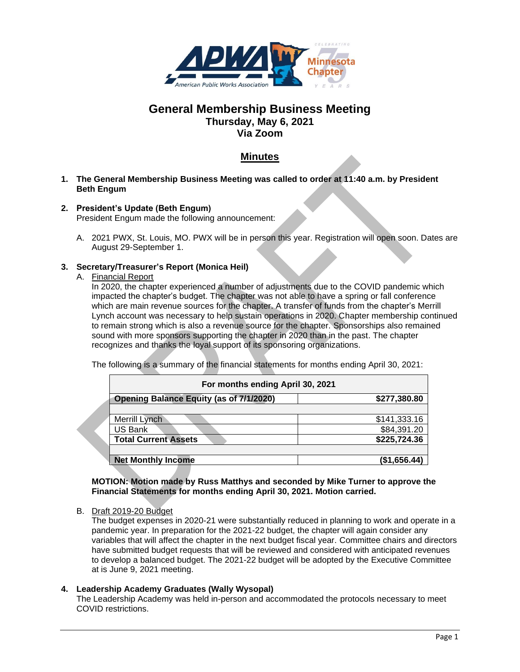

# **General Membership Business Meeting Thursday, May 6, 2021 Via Zoom**

# **Minutes**

- **1. The General Membership Business Meeting was called to order at 11:40 a.m. by President Beth Engum**
- **2. President's Update (Beth Engum)** President Engum made the following announcement:
	- A. 2021 PWX, St. Louis, MO. PWX will be in person this year. Registration will open soon. Dates are August 29-September 1.

# **3. Secretary/Treasurer's Report (Monica Heil)**

A. Financial Report

In 2020, the chapter experienced a number of adjustments due to the COVID pandemic which impacted the chapter's budget. The chapter was not able to have a spring or fall conference which are main revenue sources for the chapter. A transfer of funds from the chapter's Merrill Lynch account was necessary to help sustain operations in 2020. Chapter membership continued to remain strong which is also a revenue source for the chapter. Sponsorships also remained sound with more sponsors supporting the chapter in 2020 than in the past. The chapter recognizes and thanks the loyal support of its sponsoring organizations.

The following is a summary of the financial statements for months ending April 30, 2021:

| For months ending April 30, 2021               |              |
|------------------------------------------------|--------------|
| <b>Opening Balance Equity (as of 7/1/2020)</b> | \$277,380.80 |
|                                                |              |
| Merrill Lynch                                  | \$141,333.16 |
| US Bank                                        | \$84,391.20  |
| <b>Total Current Assets</b>                    | \$225,724.36 |
|                                                |              |
| <b>Net Monthly Income</b>                      | (\$1,656.44) |

**MOTION: Motion made by Russ Matthys and seconded by Mike Turner to approve the Financial Statements for months ending April 30, 2021. Motion carried.**

B. Draft 2019-20 Budget

The budget expenses in 2020-21 were substantially reduced in planning to work and operate in a pandemic year. In preparation for the 2021-22 budget, the chapter will again consider any variables that will affect the chapter in the next budget fiscal year. Committee chairs and directors have submitted budget requests that will be reviewed and considered with anticipated revenues to develop a balanced budget. The 2021-22 budget will be adopted by the Executive Committee at is June 9, 2021 meeting.

# **4. Leadership Academy Graduates (Wally Wysopal)**

The Leadership Academy was held in-person and accommodated the protocols necessary to meet COVID restrictions.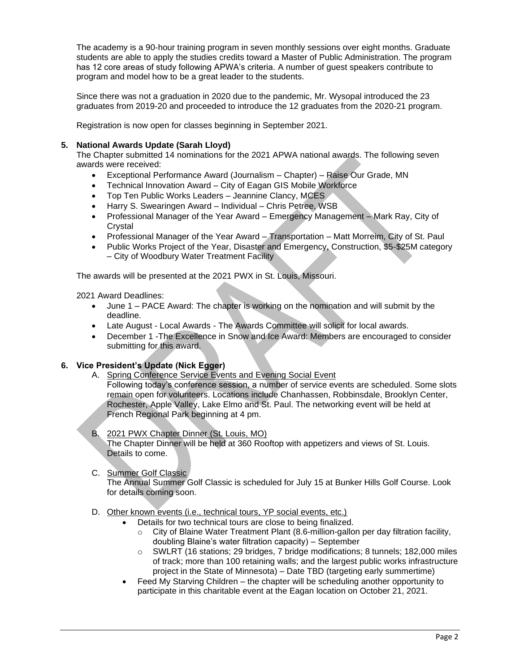The academy is a 90-hour training program in seven monthly sessions over eight months. Graduate students are able to apply the studies credits toward a Master of Public Administration. The program has 12 core areas of study following APWA's criteria. A number of guest speakers contribute to program and model how to be a great leader to the students.

Since there was not a graduation in 2020 due to the pandemic, Mr. Wysopal introduced the 23 graduates from 2019-20 and proceeded to introduce the 12 graduates from the 2020-21 program.

Registration is now open for classes beginning in September 2021.

## **5. National Awards Update (Sarah Lloyd)**

The Chapter submitted 14 nominations for the 2021 APWA national awards. The following seven awards were received:

- Exceptional Performance Award (Journalism Chapter) Raise Our Grade, MN
- Technical Innovation Award City of Eagan GIS Mobile Workforce
- Top Ten Public Works Leaders Jeannine Clancy, MCES
- Harry S. Swearingen Award Individual Chris Petree, WSB
- Professional Manager of the Year Award Emergency Management Mark Ray, City of Crystal
- Professional Manager of the Year Award Transportation Matt Morreim, City of St. Paul
- Public Works Project of the Year, Disaster and Emergency, Construction, \$5-\$25M category – City of Woodbury Water Treatment Facility

The awards will be presented at the 2021 PWX in St. Louis, Missouri.

2021 Award Deadlines:

- June 1 PACE Award: The chapter is working on the nomination and will submit by the deadline.
- Late August Local Awards The Awards Committee will solicit for local awards.
- December 1 -The Excellence in Snow and Ice Award: Members are encouraged to consider submitting for this award.

# **6. Vice President's Update (Nick Egger)**

A. Spring Conference Service Events and Evening Social Event Following today's conference session, a number of service events are scheduled. Some slots remain open for volunteers. Locations include Chanhassen, Robbinsdale, Brooklyn Center, Rochester, Apple Valley, Lake Elmo and St. Paul. The networking event will be held at French Regional Park beginning at 4 pm.

# B. 2021 PWX Chapter Dinner (St. Louis, MO)

The Chapter Dinner will be held at 360 Rooftop with appetizers and views of St. Louis. Details to come.

C. Summer Golf Classic

The Annual Summer Golf Classic is scheduled for July 15 at Bunker Hills Golf Course. Look for details coming soon.

#### D. Other known events (i.e., technical tours, YP social events, etc.)

- Details for two technical tours are close to being finalized.
	- o City of Blaine Water Treatment Plant (8.6-million-gallon per day filtration facility, doubling Blaine's water filtration capacity) – September
	- o SWLRT (16 stations; 29 bridges, 7 bridge modifications; 8 tunnels; 182,000 miles of track; more than 100 retaining walls; and the largest public works infrastructure project in the State of Minnesota) – Date TBD (targeting early summertime)
	- Feed My Starving Children the chapter will be scheduling another opportunity to participate in this charitable event at the Eagan location on October 21, 2021.